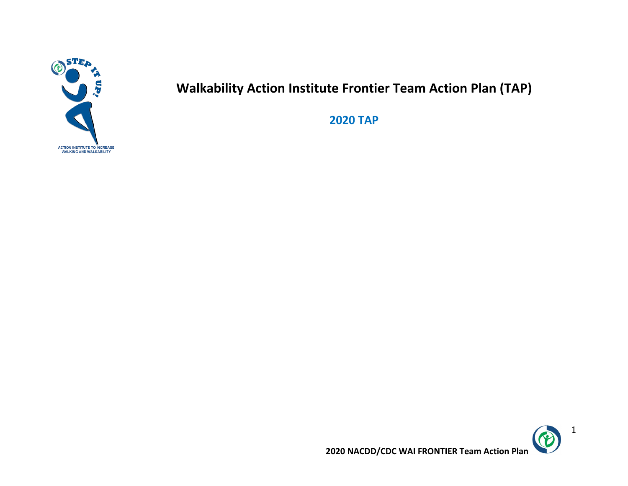

# **Walkability Action Institute Frontier Team Action Plan (TAP)**

**2020 TAP**



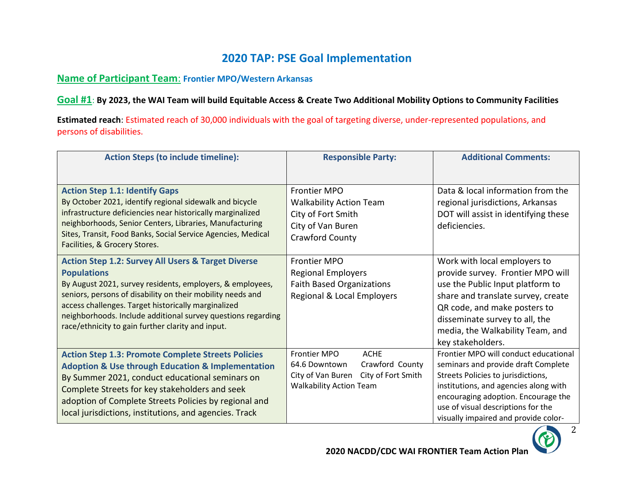## **2020 TAP: PSE Goal Implementation**

### **Name of Participant Team**: **Frontier MPO/Western Arkansas**

**Goal #1**: **By 2023, the WAI Team will build Equitable Access & Create Two Additional Mobility Options to Community Facilities**

**Estimated reach**: Estimated reach of 30,000 individuals with the goal of targeting diverse, under-represented populations, and persons of disabilities.

| <b>Action Steps (to include timeline):</b>                                                                                                                                                                                                                                                                                                                                                 | <b>Responsible Party:</b>                                                                                                                           | <b>Additional Comments:</b>                                                                                                                                                                                                                                                      |
|--------------------------------------------------------------------------------------------------------------------------------------------------------------------------------------------------------------------------------------------------------------------------------------------------------------------------------------------------------------------------------------------|-----------------------------------------------------------------------------------------------------------------------------------------------------|----------------------------------------------------------------------------------------------------------------------------------------------------------------------------------------------------------------------------------------------------------------------------------|
| <b>Action Step 1.1: Identify Gaps</b><br>By October 2021, identify regional sidewalk and bicycle<br>infrastructure deficiencies near historically marginalized<br>neighborhoods, Senior Centers, Libraries, Manufacturing<br>Sites, Transit, Food Banks, Social Service Agencies, Medical<br>Facilities, & Grocery Stores.                                                                 | <b>Frontier MPO</b><br><b>Walkability Action Team</b><br>City of Fort Smith<br>City of Van Buren<br>Crawford County                                 | Data & local information from the<br>regional jurisdictions, Arkansas<br>DOT will assist in identifying these<br>deficiencies.                                                                                                                                                   |
| <b>Action Step 1.2: Survey All Users &amp; Target Diverse</b><br><b>Populations</b><br>By August 2021, survey residents, employers, & employees,<br>seniors, persons of disability on their mobility needs and<br>access challenges. Target historically marginalized<br>neighborhoods. Include additional survey questions regarding<br>race/ethnicity to gain further clarity and input. | <b>Frontier MPO</b><br><b>Regional Employers</b><br><b>Faith Based Organizations</b><br>Regional & Local Employers                                  | Work with local employers to<br>provide survey. Frontier MPO will<br>use the Public Input platform to<br>share and translate survey, create<br>QR code, and make posters to<br>disseminate survey to all, the<br>media, the Walkability Team, and<br>key stakeholders.           |
| <b>Action Step 1.3: Promote Complete Streets Policies</b><br><b>Adoption &amp; Use through Education &amp; Implementation</b><br>By Summer 2021, conduct educational seminars on<br>Complete Streets for key stakeholders and seek<br>adoption of Complete Streets Policies by regional and<br>local jurisdictions, institutions, and agencies. Track                                      | <b>ACHE</b><br><b>Frontier MPO</b><br>64.6 Downtown<br>Crawford County<br>City of Van Buren<br>City of Fort Smith<br><b>Walkability Action Team</b> | Frontier MPO will conduct educational<br>seminars and provide draft Complete<br>Streets Policies to jurisdictions,<br>institutions, and agencies along with<br>encouraging adoption. Encourage the<br>use of visual descriptions for the<br>visually impaired and provide color- |



2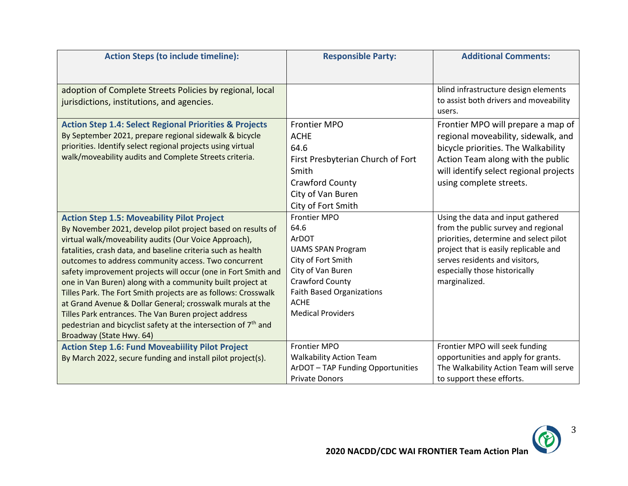| <b>Action Steps (to include timeline):</b>                                 | <b>Responsible Party:</b>         | <b>Additional Comments:</b>                      |
|----------------------------------------------------------------------------|-----------------------------------|--------------------------------------------------|
|                                                                            |                                   |                                                  |
| adoption of Complete Streets Policies by regional, local                   |                                   | blind infrastructure design elements             |
| jurisdictions, institutions, and agencies.                                 |                                   | to assist both drivers and moveability<br>users. |
|                                                                            |                                   |                                                  |
| <b>Action Step 1.4: Select Regional Priorities &amp; Projects</b>          | <b>Frontier MPO</b>               | Frontier MPO will prepare a map of               |
| By September 2021, prepare regional sidewalk & bicycle                     | <b>ACHE</b>                       | regional moveability, sidewalk, and              |
| priorities. Identify select regional projects using virtual                | 64.6                              | bicycle priorities. The Walkability              |
| walk/moveability audits and Complete Streets criteria.                     | First Presbyterian Church of Fort | Action Team along with the public                |
|                                                                            | Smith                             | will identify select regional projects           |
|                                                                            | <b>Crawford County</b>            | using complete streets.                          |
|                                                                            | City of Van Buren                 |                                                  |
|                                                                            | City of Fort Smith                |                                                  |
| <b>Action Step 1.5: Moveability Pilot Project</b>                          | <b>Frontier MPO</b>               | Using the data and input gathered                |
| By November 2021, develop pilot project based on results of                | 64.6                              | from the public survey and regional              |
| virtual walk/moveability audits (Our Voice Approach),                      | ArDOT                             | priorities, determine and select pilot           |
| fatalities, crash data, and baseline criteria such as health               | <b>UAMS SPAN Program</b>          | project that is easily replicable and            |
| outcomes to address community access. Two concurrent                       | City of Fort Smith                | serves residents and visitors,                   |
| safety improvement projects will occur (one in Fort Smith and              | City of Van Buren                 | especially those historically                    |
| one in Van Buren) along with a community built project at                  | Crawford County                   | marginalized.                                    |
| Tilles Park. The Fort Smith projects are as follows: Crosswalk             | <b>Faith Based Organizations</b>  |                                                  |
| at Grand Avenue & Dollar General; crosswalk murals at the                  | <b>ACHE</b>                       |                                                  |
| Tilles Park entrances. The Van Buren project address                       | <b>Medical Providers</b>          |                                                  |
| pedestrian and bicyclist safety at the intersection of 7 <sup>th</sup> and |                                   |                                                  |
| Broadway (State Hwy. 64)                                                   |                                   |                                                  |
| <b>Action Step 1.6: Fund Moveabiility Pilot Project</b>                    | <b>Frontier MPO</b>               | Frontier MPO will seek funding                   |
| By March 2022, secure funding and install pilot project(s).                | <b>Walkability Action Team</b>    | opportunities and apply for grants.              |
|                                                                            | ArDOT-TAP Funding Opportunities   | The Walkability Action Team will serve           |
|                                                                            | <b>Private Donors</b>             | to support these efforts.                        |

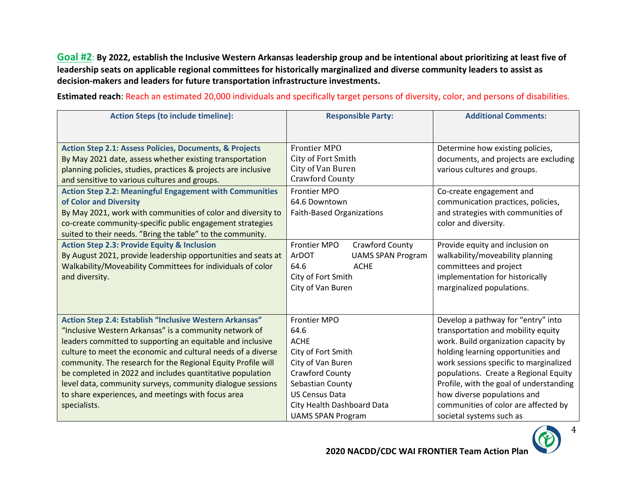**Goal #2**: **By 2022, establish the Inclusive Western Arkansas leadership group and be intentional about prioritizing at least five of leadership seats on applicable regional committees for historically marginalized and diverse community leaders to assist as decision-makers and leaders for future transportation infrastructure investments.**

**Estimated reach**: Reach an estimated 20,000 individuals and specifically target persons of diversity, color, and persons of disabilities.

| <b>Action Steps (to include timeline):</b>                                                                                                                                                                                                                                                                                                                                                                                                                                                                       | <b>Responsible Party:</b>                                                                                                                                                                                       | <b>Additional Comments:</b>                                                                                                                                                                                                                                                                                                                                                             |
|------------------------------------------------------------------------------------------------------------------------------------------------------------------------------------------------------------------------------------------------------------------------------------------------------------------------------------------------------------------------------------------------------------------------------------------------------------------------------------------------------------------|-----------------------------------------------------------------------------------------------------------------------------------------------------------------------------------------------------------------|-----------------------------------------------------------------------------------------------------------------------------------------------------------------------------------------------------------------------------------------------------------------------------------------------------------------------------------------------------------------------------------------|
| <b>Action Step 2.1: Assess Policies, Documents, &amp; Projects</b><br>By May 2021 date, assess whether existing transportation<br>planning policies, studies, practices & projects are inclusive<br>and sensitive to various cultures and groups.                                                                                                                                                                                                                                                                | <b>Frontier MPO</b><br>City of Fort Smith<br>City of Van Buren<br><b>Crawford County</b>                                                                                                                        | Determine how existing policies,<br>documents, and projects are excluding<br>various cultures and groups.                                                                                                                                                                                                                                                                               |
| <b>Action Step 2.2: Meaningful Engagement with Communities</b><br>of Color and Diversity<br>By May 2021, work with communities of color and diversity to<br>co-create community-specific public engagement strategies<br>suited to their needs. "Bring the table" to the community.                                                                                                                                                                                                                              | <b>Frontier MPO</b><br>64.6 Downtown<br><b>Faith-Based Organizations</b>                                                                                                                                        | Co-create engagement and<br>communication practices, policies,<br>and strategies with communities of<br>color and diversity.                                                                                                                                                                                                                                                            |
| <b>Action Step 2.3: Provide Equity &amp; Inclusion</b><br>By August 2021, provide leadership opportunities and seats at<br>Walkability/Moveability Committees for individuals of color<br>and diversity.                                                                                                                                                                                                                                                                                                         | Frontier MPO<br>Crawford County<br>ArDOT<br><b>UAMS SPAN Program</b><br>64.6<br><b>ACHE</b><br>City of Fort Smith<br>City of Van Buren                                                                          | Provide equity and inclusion on<br>walkability/moveability planning<br>committees and project<br>implementation for historically<br>marginalized populations.                                                                                                                                                                                                                           |
| Action Step 2.4: Establish "Inclusive Western Arkansas"<br>"Inclusive Western Arkansas" is a community network of<br>leaders committed to supporting an equitable and inclusive<br>culture to meet the economic and cultural needs of a diverse<br>community. The research for the Regional Equity Profile will<br>be completed in 2022 and includes quantitative population<br>level data, community surveys, community dialogue sessions<br>to share experiences, and meetings with focus area<br>specialists. | <b>Frontier MPO</b><br>64.6<br><b>ACHE</b><br>City of Fort Smith<br>City of Van Buren<br>Crawford County<br>Sebastian County<br><b>US Census Data</b><br>City Health Dashboard Data<br><b>UAMS SPAN Program</b> | Develop a pathway for "entry" into<br>transportation and mobility equity<br>work. Build organization capacity by<br>holding learning opportunities and<br>work sessions specific to marginalized<br>populations. Create a Regional Equity<br>Profile, with the goal of understanding<br>how diverse populations and<br>communities of color are affected by<br>societal systems such as |



4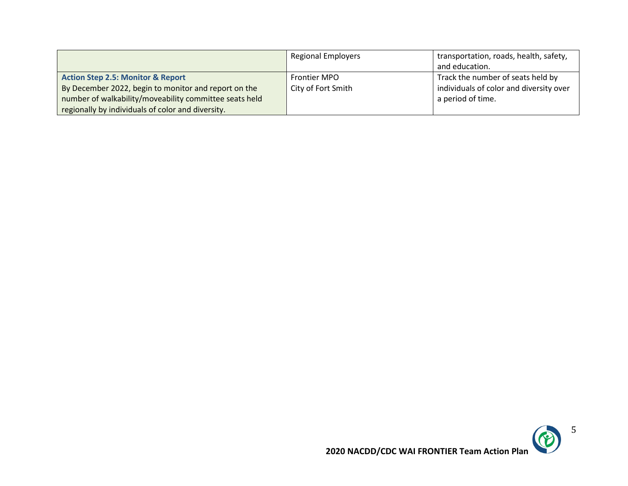|                                                        | <b>Regional Employers</b> | transportation, roads, health, safety,<br>and education. |
|--------------------------------------------------------|---------------------------|----------------------------------------------------------|
| <b>Action Step 2.5: Monitor &amp; Report</b>           | <b>Frontier MPO</b>       | Track the number of seats held by                        |
| By December 2022, begin to monitor and report on the   | City of Fort Smith        | individuals of color and diversity over                  |
| number of walkability/moveability committee seats held |                           | a period of time.                                        |
| regionally by individuals of color and diversity.      |                           |                                                          |

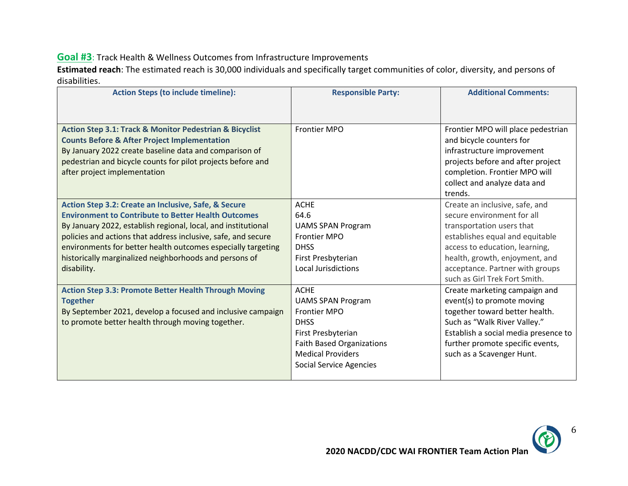#### **Goal #3**: Track Health & Wellness Outcomes from Infrastructure Improvements

**Estimated reach**: The estimated reach is 30,000 individuals and specifically target communities of color, diversity, and persons of disabilities.

| <b>Action Steps (to include timeline):</b>                                                                                                                                                                                                                                                                                                                                                    | <b>Responsible Party:</b>                                                                                                                                                                             | <b>Additional Comments:</b>                                                                                                                                                                                                                                          |
|-----------------------------------------------------------------------------------------------------------------------------------------------------------------------------------------------------------------------------------------------------------------------------------------------------------------------------------------------------------------------------------------------|-------------------------------------------------------------------------------------------------------------------------------------------------------------------------------------------------------|----------------------------------------------------------------------------------------------------------------------------------------------------------------------------------------------------------------------------------------------------------------------|
|                                                                                                                                                                                                                                                                                                                                                                                               |                                                                                                                                                                                                       |                                                                                                                                                                                                                                                                      |
| <b>Action Step 3.1: Track &amp; Monitor Pedestrian &amp; Bicyclist</b><br><b>Counts Before &amp; After Project Implementation</b><br>By January 2022 create baseline data and comparison of<br>pedestrian and bicycle counts for pilot projects before and<br>after project implementation                                                                                                    | Frontier MPO                                                                                                                                                                                          | Frontier MPO will place pedestrian<br>and bicycle counters for<br>infrastructure improvement<br>projects before and after project<br>completion. Frontier MPO will<br>collect and analyze data and<br>trends.                                                        |
| Action Step 3.2: Create an Inclusive, Safe, & Secure<br><b>Environment to Contribute to Better Health Outcomes</b><br>By January 2022, establish regional, local, and institutional<br>policies and actions that address inclusive, safe, and secure<br>environments for better health outcomes especially targeting<br>historically marginalized neighborhoods and persons of<br>disability. | <b>ACHE</b><br>64.6<br><b>UAMS SPAN Program</b><br><b>Frontier MPO</b><br><b>DHSS</b><br>First Presbyterian<br><b>Local Jurisdictions</b>                                                             | Create an inclusive, safe, and<br>secure environment for all<br>transportation users that<br>establishes equal and equitable<br>access to education, learning,<br>health, growth, enjoyment, and<br>acceptance. Partner with groups<br>such as Girl Trek Fort Smith. |
| <b>Action Step 3.3: Promote Better Health Through Moving</b><br><b>Together</b><br>By September 2021, develop a focused and inclusive campaign<br>to promote better health through moving together.                                                                                                                                                                                           | <b>ACHE</b><br><b>UAMS SPAN Program</b><br><b>Frontier MPO</b><br><b>DHSS</b><br>First Presbyterian<br><b>Faith Based Organizations</b><br><b>Medical Providers</b><br><b>Social Service Agencies</b> | Create marketing campaign and<br>event(s) to promote moving<br>together toward better health.<br>Such as "Walk River Valley."<br>Establish a social media presence to<br>further promote specific events,<br>such as a Scavenger Hunt.                               |



6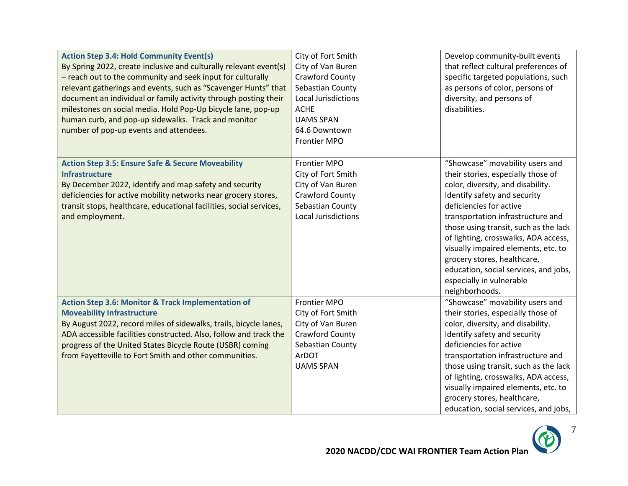| <b>Action Step 3.4: Hold Community Event(s)</b><br>By Spring 2022, create inclusive and culturally relevant event(s)<br>- reach out to the community and seek input for culturally<br>relevant gatherings and events, such as "Scavenger Hunts" that<br>document an individual or family activity through posting their<br>milestones on social media. Hold Pop-Up bicycle lane, pop-up<br>human curb, and pop-up sidewalks. Track and monitor<br>number of pop-up events and attendees. | City of Fort Smith<br>City of Van Buren<br><b>Crawford County</b><br>Sebastian County<br>Local Jurisdictions<br><b>ACHE</b><br><b>UAMS SPAN</b><br>64.6 Downtown<br><b>Frontier MPO</b> | Develop community-built events<br>that reflect cultural preferences of<br>specific targeted populations, such<br>as persons of color, persons of<br>diversity, and persons of<br>disabilities.                                                                                                                                                                                                                                                           |
|------------------------------------------------------------------------------------------------------------------------------------------------------------------------------------------------------------------------------------------------------------------------------------------------------------------------------------------------------------------------------------------------------------------------------------------------------------------------------------------|-----------------------------------------------------------------------------------------------------------------------------------------------------------------------------------------|----------------------------------------------------------------------------------------------------------------------------------------------------------------------------------------------------------------------------------------------------------------------------------------------------------------------------------------------------------------------------------------------------------------------------------------------------------|
| <b>Action Step 3.5: Ensure Safe &amp; Secure Moveability</b><br><b>Infrastructure</b><br>By December 2022, identify and map safety and security<br>deficiencies for active mobility networks near grocery stores,<br>transit stops, healthcare, educational facilities, social services,<br>and employment.                                                                                                                                                                              | <b>Frontier MPO</b><br>City of Fort Smith<br>City of Van Buren<br>Crawford County<br>Sebastian County<br>Local Jurisdictions                                                            | "Showcase" movability users and<br>their stories, especially those of<br>color, diversity, and disability.<br>Identify safety and security<br>deficiencies for active<br>transportation infrastructure and<br>those using transit, such as the lack<br>of lighting, crosswalks, ADA access,<br>visually impaired elements, etc. to<br>grocery stores, healthcare,<br>education, social services, and jobs,<br>especially in vulnerable<br>neighborhoods. |
| <b>Action Step 3.6: Monitor &amp; Track Implementation of</b><br><b>Moveability Infrastructure</b><br>By August 2022, record miles of sidewalks, trails, bicycle lanes,<br>ADA accessible facilities constructed. Also, follow and track the<br>progress of the United States Bicycle Route (USBR) coming<br>from Fayetteville to Fort Smith and other communities.                                                                                                                      | <b>Frontier MPO</b><br>City of Fort Smith<br>City of Van Buren<br>Crawford County<br>Sebastian County<br>ArDOT<br><b>UAMS SPAN</b>                                                      | "Showcase" movability users and<br>their stories, especially those of<br>color, diversity, and disability.<br>Identify safety and security<br>deficiencies for active<br>transportation infrastructure and<br>those using transit, such as the lack<br>of lighting, crosswalks, ADA access,<br>visually impaired elements, etc. to<br>grocery stores, healthcare,<br>education, social services, and jobs,                                               |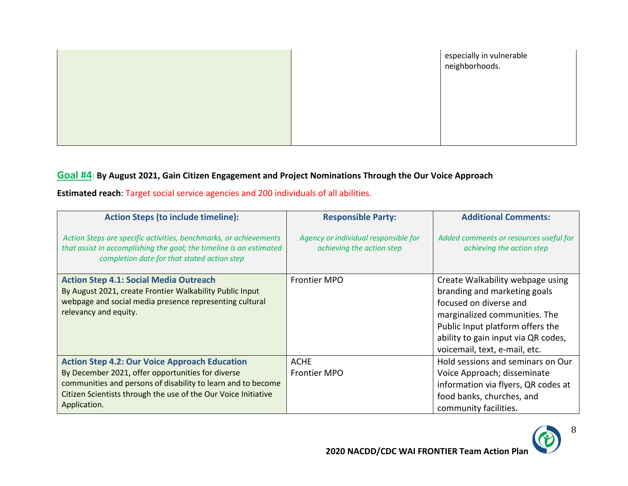|  | especially in vulnerable<br>neighborhoods. |
|--|--------------------------------------------|
|  |                                            |
|  |                                            |
|  |                                            |

### **Goal #4**: **By August 2021, Gain Citizen Engagement and Project Nominations Through the Our Voice Approach**

**Estimated reach**: Target social service agencies and 200 individuals of all abilities.

| <b>Action Steps (to include timeline):</b>                                                                                                                                                                                                                  | <b>Responsible Party:</b>                                         | <b>Additional Comments:</b>                                                                                                                                                                                                             |
|-------------------------------------------------------------------------------------------------------------------------------------------------------------------------------------------------------------------------------------------------------------|-------------------------------------------------------------------|-----------------------------------------------------------------------------------------------------------------------------------------------------------------------------------------------------------------------------------------|
| Action Steps are specific activities, benchmarks, or achievements<br>that assist in accomplishing the goal; the timeline is an estimated<br>completion date for that stated action step                                                                     | Agency or individual responsible for<br>achieving the action step | Added comments or resources useful for<br>achieving the action step                                                                                                                                                                     |
| <b>Action Step 4.1: Social Media Outreach</b><br>By August 2021, create Frontier Walkability Public Input<br>webpage and social media presence representing cultural<br>relevancy and equity.                                                               | <b>Frontier MPO</b>                                               | Create Walkability webpage using<br>branding and marketing goals<br>focused on diverse and<br>marginalized communities. The<br>Public Input platform offers the<br>ability to gain input via QR codes,<br>voicemail, text, e-mail, etc. |
| <b>Action Step 4.2: Our Voice Approach Education</b><br>By December 2021, offer opportunities for diverse<br>communities and persons of disability to learn and to become<br>Citizen Scientists through the use of the Our Voice Initiative<br>Application. | <b>ACHE</b><br><b>Frontier MPO</b>                                | Hold sessions and seminars on Our<br>Voice Approach; disseminate<br>information via flyers, QR codes at<br>food banks, churches, and<br>community facilities.                                                                           |